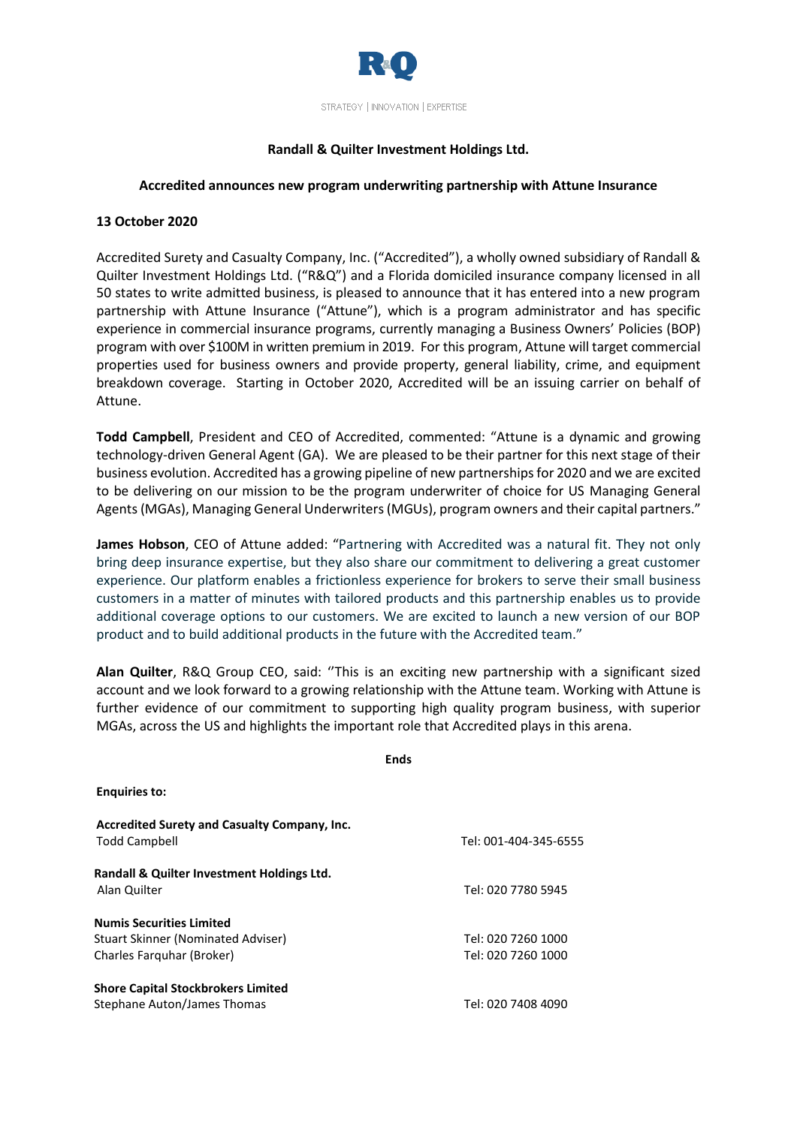

## **Randall & Quilter Investment Holdings Ltd.**

## **Accredited announces new program underwriting partnership with Attune Insurance**

## **13 October 2020**

Accredited Surety and Casualty Company, Inc. ("Accredited"), a wholly owned subsidiary of Randall & Quilter Investment Holdings Ltd. ("R&Q") and a Florida domiciled insurance company licensed in all 50 states to write admitted business, is pleased to announce that it has entered into a new program partnership with Attune Insurance ("Attune"), which is a program administrator and has specific experience in commercial insurance programs, currently managing a Business Owners' Policies (BOP) program with over \$100M in written premium in 2019. For this program, Attune will target commercial properties used for business owners and provide property, general liability, crime, and equipment breakdown coverage. Starting in October 2020, Accredited will be an issuing carrier on behalf of Attune.

**Todd Campbell**, President and CEO of Accredited, commented: "Attune is a dynamic and growing technology-driven General Agent (GA). We are pleased to be their partner for this next stage of their business evolution. Accredited has a growing pipeline of new partnerships for 2020 and we are excited to be delivering on our mission to be the program underwriter of choice for US Managing General Agents (MGAs), Managing General Underwriters (MGUs), program owners and their capital partners."

**James Hobson**, CEO of Attune added: "Partnering with Accredited was a natural fit. They not only bring deep insurance expertise, but they also share our commitment to delivering a great customer experience. Our platform enables a frictionless experience for brokers to serve their small business customers in a matter of minutes with tailored products and this partnership enables us to provide additional coverage options to our customers. We are excited to launch a new version of our BOP product and to build additional products in the future with the Accredited team."

**Alan Quilter**, R&Q Group CEO, said: ''This is an exciting new partnership with a significant sized account and we look forward to a growing relationship with the Attune team. Working with Attune is further evidence of our commitment to supporting high quality program business, with superior MGAs, across the US and highlights the important role that Accredited plays in this arena.

**Ends**

| <b>Enquiries to:</b>                                                        |                       |
|-----------------------------------------------------------------------------|-----------------------|
| <b>Accredited Surety and Casualty Company, Inc.</b><br><b>Todd Campbell</b> | Tel: 001-404-345-6555 |
| Randall & Quilter Investment Holdings Ltd.<br>Alan Quilter                  | Tel: 020 7780 5945    |
| <b>Numis Securities Limited</b><br>Stuart Skinner (Nominated Adviser)       | Tel: 020 7260 1000    |
| Charles Farguhar (Broker)                                                   | Tel: 020 7260 1000    |
| <b>Shore Capital Stockbrokers Limited</b><br>Stephane Auton/James Thomas    | Tel: 020 7408 4090    |